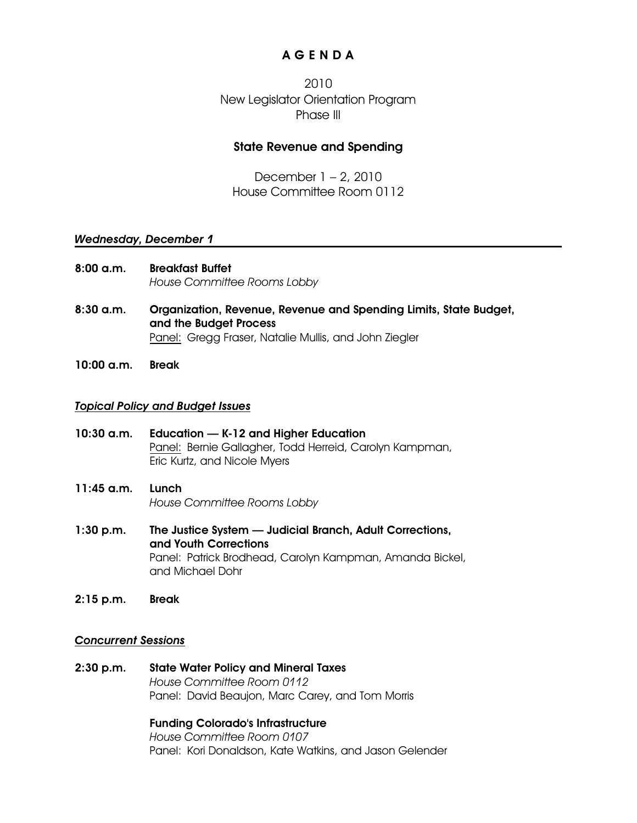# **A G E N D A**

# 2010 New Legislator Orientation Program Phase III

## **State Revenue and Spending**

December 1 – 2, 2010 House Committee Room 0112

#### *Wednesday, December 1*

- **8:00 a.m. Breakfast Buffet** *House Committee Rooms Lobby*
- **8:30 a.m. Organization, Revenue, Revenue and Spending Limits, State Budget, and the Budget Process** Panel: Gregg Fraser, Natalie Mullis, and John Ziegler
- **10:00 a.m. Break**

#### *Topical Policy and Budget Issues*

- **10:30 a.m. Education K-12 and Higher Education** Panel: Bernie Gallagher, Todd Herreid, Carolyn Kampman, Eric Kurtz, and Nicole Myers
- **11:45 a.m. Lunch** *House Committee Rooms Lobby*
- **1:30 p.m. The Justice System Judicial Branch, Adult Corrections, and Youth Corrections** Panel: Patrick Brodhead, Carolyn Kampman, Amanda Bickel, and Michael Dohr
- **2:15 p.m. Break**

#### *Concurrent Sessions*

**2:30 p.m. State Water Policy and Mineral Taxes** *House Committee Room 0112* Panel: David Beaujon, Marc Carey, and Tom Morris

### **Funding Colorado's Infrastructure** *House Committee Room 0107* Panel: Kori Donaldson, Kate Watkins, and Jason Gelender